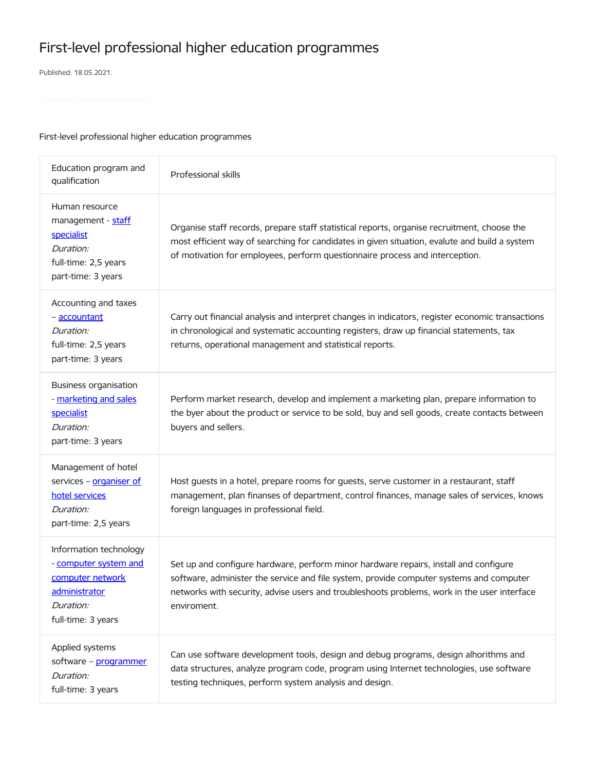## First-level professional higher education programmes

Published: 18.05.2021.

## First-level professional higher education programmes

| Education program and<br>qualification                                                                                         | Professional skills                                                                                                                                                                                                                                                                           |
|--------------------------------------------------------------------------------------------------------------------------------|-----------------------------------------------------------------------------------------------------------------------------------------------------------------------------------------------------------------------------------------------------------------------------------------------|
| Human resource<br>management - staff<br><b>specialist</b><br>Duration:<br>full-time: 2,5 years<br>part-time: 3 years           | Organise staff records, prepare staff statistical reports, organise recruitment, choose the<br>most efficient way of searching for candidates in given situation, evalute and build a system<br>of motivation for employees, perform questionnaire process and interception.                  |
| Accounting and taxes<br>- accountant<br>Duration:<br>full-time: 2,5 years<br>part-time: 3 years                                | Carry out financial analysis and interpret changes in indicators, register economic transactions<br>in chronological and systematic accounting registers, draw up financial statements, tax<br>returns, operational management and statistical reports.                                       |
| <b>Business organisation</b><br>- marketing and sales<br>specialist<br>Duration:<br>part-time: 3 years                         | Perform market research, develop and implement a marketing plan, prepare information to<br>the byer about the product or service to be sold, buy and sell goods, create contacts between<br>buyers and sellers.                                                                               |
| Management of hotel<br>services - organiser of<br>hotel services<br>Duration:<br>part-time: 2,5 years                          | Host guests in a hotel, prepare rooms for guests, serve customer in a restaurant, staff<br>management, plan finanses of department, control finances, manage sales of services, knows<br>foreign languages in professional field.                                                             |
| Information technology<br>- computer system and<br>computer network<br><u>administrator</u><br>Duration:<br>full-time: 3 years | Set up and configure hardware, perform minor hardware repairs, install and configure<br>software, administer the service and file system, provide computer systems and computer<br>networks with security, advise users and troubleshoots problems, work in the user interface<br>enviroment. |
| Applied systems<br>software - programmer<br>Duration:<br>full-time: 3 years                                                    | Can use software development tools, design and debug programs, design alhorithms and<br>data structures, analyze program code, program using Internet technologies, use software<br>testing techniques, perform system analysis and design.                                                   |